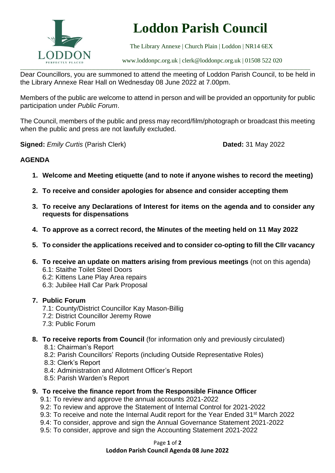

# **Loddon Parish Council**

The Library Annexe | Church Plain | Loddon | NR14 6EX

[www.loddonpc.org.uk](http://www.loddonpc.org.uk/) | [clerk@loddonpc.org.uk](mailto:clerk@loddonpc.org.uk) | 01508 522 020

Dear Councillors, you are summoned to attend the meeting of Loddon Parish Council, to be held in the Library Annexe Rear Hall on Wednesday 08 June 2022 at 7.00pm.

Members of the public are welcome to attend in person and will be provided an opportunity for public participation under *Public Forum*.

The Council, members of the public and press may record/film/photograph or broadcast this meeting when the public and press are not lawfully excluded.

**Signed:** *Emily Curtis* (Parish Clerk) **Dated:** 31 May 2022

# **AGENDA**

- **1. Welcome and Meeting etiquette (and to note if anyone wishes to record the meeting)**
- **2. To receive and consider apologies for absence and consider accepting them**
- **3. To receive any Declarations of Interest for items on the agenda and to consider any requests for dispensations**
- **4. To approve as a correct record, the Minutes of the meeting held on 11 May 2022**
- **5. To consider the applications received and to consider co-opting to fill the Cllr vacancy**
- **6. To receive an update on matters arising from previous meetings** (not on this agenda)
	- 6.1: Staithe Toilet Steel Doors
	- 6.2: Kittens Lane Play Area repairs
	- 6.3: Jubilee Hall Car Park Proposal
- **7. Public Forum**
	- 7.1: County/District Councillor Kay Mason-Billig
	- 7.2: District Councillor Jeremy Rowe
	- 7.3: Public Forum
- **8. To receive reports from Council** (for information only and previously circulated)
	- 8.1: Chairman's Report
	- 8.2: Parish Councillors' Reports (including Outside Representative Roles)
	- 8.3: Clerk's Report
	- 8.4: Administration and Allotment Officer's Report
	- 8.5: Parish Warden's Report
- **9. To receive the finance report from the Responsible Finance Officer**
	- 9.1: To review and approve the annual accounts 2021-2022
	- 9.2: To review and approve the Statement of Internal Control for 2021-2022
	- 9.3: To receive and note the Internal Audit report for the Year Ended 31<sup>st</sup> March 2022
	- 9.4: To consider, approve and sign the Annual Governance Statement 2021-2022
	- 9.5: To consider, approve and sign the Accounting Statement 2021-2022